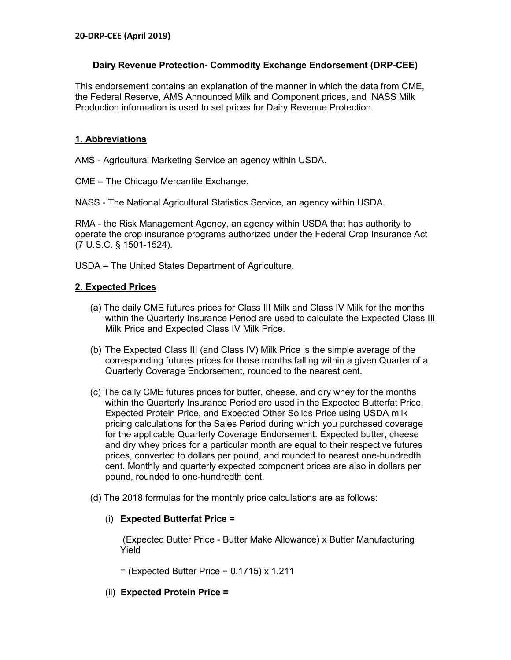## **Dairy Revenue Protection- Commodity Exchange Endorsement (DRP-CEE)**

This endorsement contains an explanation of the manner in which the data from CME, the Federal Reserve, AMS Announced Milk and Component prices, and NASS Milk Production information is used to set prices for Dairy Revenue Protection.

## **1. Abbreviations**

AMS - Agricultural Marketing Service an agency within USDA.

CME – The Chicago Mercantile Exchange.

NASS - The National Agricultural Statistics Service, an agency within USDA.

RMA - the Risk Management Agency, an agency within USDA that has authority to operate the crop insurance programs authorized under the Federal Crop Insurance Act (7 U.S.C. § 1501-1524).

USDA – The United States Department of Agriculture.

## **2. Expected Prices**

- (a) The daily CME futures prices for Class III Milk and Class IV Milk for the months within the Quarterly Insurance Period are used to calculate the Expected Class III Milk Price and Expected Class IV Milk Price.
- (b) The Expected Class III (and Class IV) Milk Price is the simple average of the corresponding futures prices for those months falling within a given Quarter of a Quarterly Coverage Endorsement, rounded to the nearest cent.
- (c) The daily CME futures prices for butter, cheese, and dry whey for the months within the Quarterly Insurance Period are used in the Expected Butterfat Price, Expected Protein Price, and Expected Other Solids Price using USDA milk pricing calculations for the Sales Period during which you purchased coverage for the applicable Quarterly Coverage Endorsement. Expected butter, cheese and dry whey prices for a particular month are equal to their respective futures prices, converted to dollars per pound, and rounded to nearest one-hundredth cent. Monthly and quarterly expected component prices are also in dollars per pound, rounded to one-hundredth cent.
- (d) The 2018 formulas for the monthly price calculations are as follows:

## (i) **Expected Butterfat Price =**

(Expected Butter Price - Butter Make Allowance) x Butter Manufacturing Yield

= (Expected Butter Price − 0.1715) x 1.211

(ii) **Expected Protein Price =**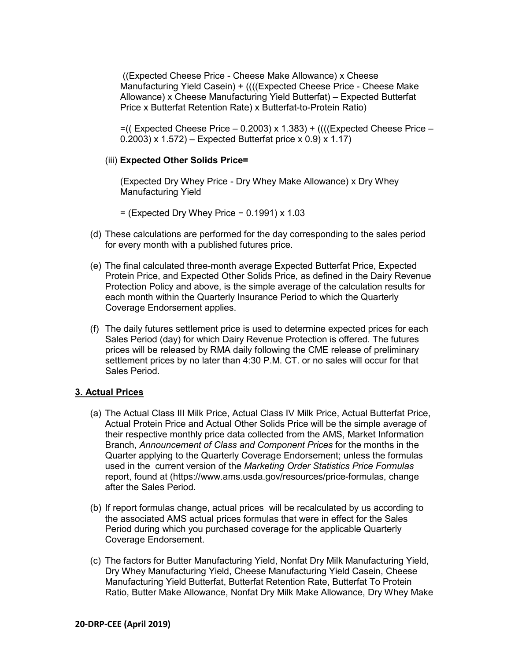((Expected Cheese Price - Cheese Make Allowance) x Cheese Manufacturing Yield Casein) + ((((Expected Cheese Price - Cheese Make Allowance) x Cheese Manufacturing Yield Butterfat) – Expected Butterfat Price x Butterfat Retention Rate) x Butterfat-to-Protein Ratio)

 $=$  ((Expected Cheese Price  $-$  0.2003) x 1.383) + ((((Expected Cheese Price  $-$ 0.2003) x 1.572) – Expected Butterfat price x 0.9) x 1.17)

#### (iii) **Expected Other Solids Price=**

(Expected Dry Whey Price - Dry Whey Make Allowance) x Dry Whey Manufacturing Yield

= (Expected Dry Whey Price − 0.1991) x 1.03

- (d) These calculations are performed for the day corresponding to the sales period for every month with a published futures price.
- (e) The final calculated three-month average Expected Butterfat Price, Expected Protein Price, and Expected Other Solids Price, as defined in the Dairy Revenue Protection Policy and above, is the simple average of the calculation results for each month within the Quarterly Insurance Period to which the Quarterly Coverage Endorsement applies.
- (f) The daily futures settlement price is used to determine expected prices for each Sales Period (day) for which Dairy Revenue Protection is offered. The futures prices will be released by RMA daily following the CME release of preliminary settlement prices by no later than 4:30 P.M. CT. or no sales will occur for that Sales Period.

#### **3. Actual Prices**

- (a) The Actual Class III Milk Price, Actual Class IV Milk Price, Actual Butterfat Price, Actual Protein Price and Actual Other Solids Price will be the simple average of their respective monthly price data collected from the AMS, Market Information Branch, *Announcement of Class and Component Prices* for the months in the Quarter applying to the Quarterly Coverage Endorsement; unless the formulas used in the current version of the *Marketing Order Statistics Price Formulas*  report, found at (https://www.ams.usda.gov/resources/price-formulas, change after the Sales Period.
- (b) If report formulas change, actual prices will be recalculated by us according to the associated AMS actual prices formulas that were in effect for the Sales Period during which you purchased coverage for the applicable Quarterly Coverage Endorsement.
- (c) The factors for Butter Manufacturing Yield, Nonfat Dry Milk Manufacturing Yield, Dry Whey Manufacturing Yield, Cheese Manufacturing Yield Casein, Cheese Manufacturing Yield Butterfat, Butterfat Retention Rate, Butterfat To Protein Ratio, Butter Make Allowance, Nonfat Dry Milk Make Allowance, Dry Whey Make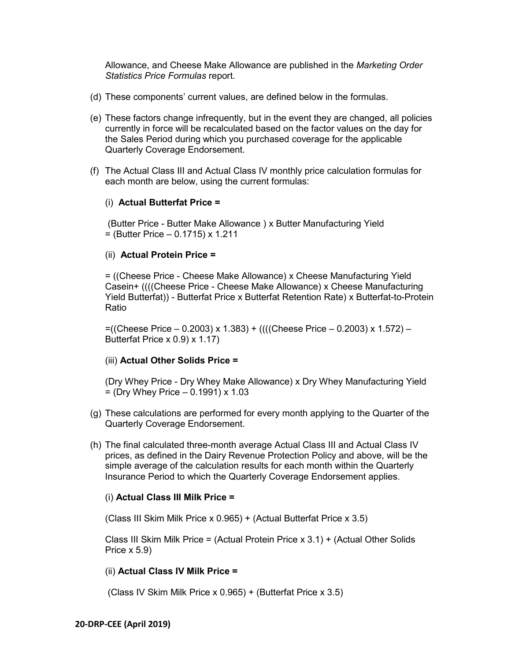Allowance, and Cheese Make Allowance are published in the *Marketing Order Statistics Price Formulas* report.

- (d) These components' current values, are defined below in the formulas.
- (e) These factors change infrequently, but in the event they are changed, all policies currently in force will be recalculated based on the factor values on the day for the Sales Period during which you purchased coverage for the applicable Quarterly Coverage Endorsement.
- (f) The Actual Class III and Actual Class IV monthly price calculation formulas for each month are below, using the current formulas:

### (i) **Actual Butterfat Price =**

(Butter Price - Butter Make Allowance ) x Butter Manufacturing Yield  $=$  (Butter Price  $-$  0.1715) x 1.211

## (ii) **Actual Protein Price =**

= ((Cheese Price - Cheese Make Allowance) x Cheese Manufacturing Yield Casein+ ((((Cheese Price - Cheese Make Allowance) x Cheese Manufacturing Yield Butterfat)) - Butterfat Price x Butterfat Retention Rate) x Butterfat-to-Protein Ratio

=((Cheese Price – 0.2003) x 1.383) + ((((Cheese Price – 0.2003) x 1.572) – Butterfat Price x 0.9) x 1.17)

### (iii) **Actual Other Solids Price =**

(Dry Whey Price - Dry Whey Make Allowance) x Dry Whey Manufacturing Yield  $=$  (Dry Whey Price  $-$  0.1991) x 1.03

- (g) These calculations are performed for every month applying to the Quarter of the Quarterly Coverage Endorsement.
- (h) The final calculated three-month average Actual Class III and Actual Class IV prices, as defined in the Dairy Revenue Protection Policy and above, will be the simple average of the calculation results for each month within the Quarterly Insurance Period to which the Quarterly Coverage Endorsement applies.

### (i) **Actual Class III Milk Price =**

(Class III Skim Milk Price x 0.965) + (Actual Butterfat Price x 3.5)

Class III Skim Milk Price = (Actual Protein Price x 3.1) + (Actual Other Solids Price x 5.9)

### (ii) **Actual Class IV Milk Price =**

(Class IV Skim Milk Price x 0.965) + (Butterfat Price x 3.5)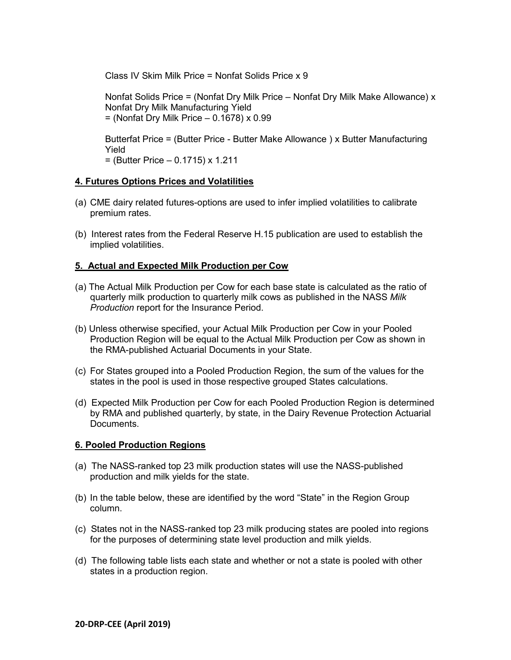Class IV Skim Milk Price = Nonfat Solids Price x 9

Nonfat Solids Price = (Nonfat Dry Milk Price – Nonfat Dry Milk Make Allowance) x Nonfat Dry Milk Manufacturing Yield  $=$  (Nonfat Dry Milk Price  $-$  0.1678) x 0.99

Butterfat Price = (Butter Price - Butter Make Allowance ) x Butter Manufacturing Yield = (Butter Price – 0.1715) x 1.211

## **4. Futures Options Prices and Volatilities**

- (a) CME dairy related futures-options are used to infer implied volatilities to calibrate premium rates.
- (b) Interest rates from the Federal Reserve H.15 publication are used to establish the implied volatilities.

# **5. Actual and Expected Milk Production per Cow**

- (a) The Actual Milk Production per Cow for each base state is calculated as the ratio of quarterly milk production to quarterly milk cows as published in the NASS *Milk Production* report for the Insurance Period.
- (b) Unless otherwise specified, your Actual Milk Production per Cow in your Pooled Production Region will be equal to the Actual Milk Production per Cow as shown in the RMA-published Actuarial Documents in your State.
- (c) For States grouped into a Pooled Production Region, the sum of the values for the states in the pool is used in those respective grouped States calculations.
- (d) Expected Milk Production per Cow for each Pooled Production Region is determined by RMA and published quarterly, by state, in the Dairy Revenue Protection Actuarial Documents.

## **6. Pooled Production Regions**

- (a) The NASS-ranked top 23 milk production states will use the NASS-published production and milk yields for the state.
- (b) In the table below, these are identified by the word "State" in the Region Group column.
- (c) States not in the NASS-ranked top 23 milk producing states are pooled into regions for the purposes of determining state level production and milk yields.
- (d) The following table lists each state and whether or not a state is pooled with other states in a production region.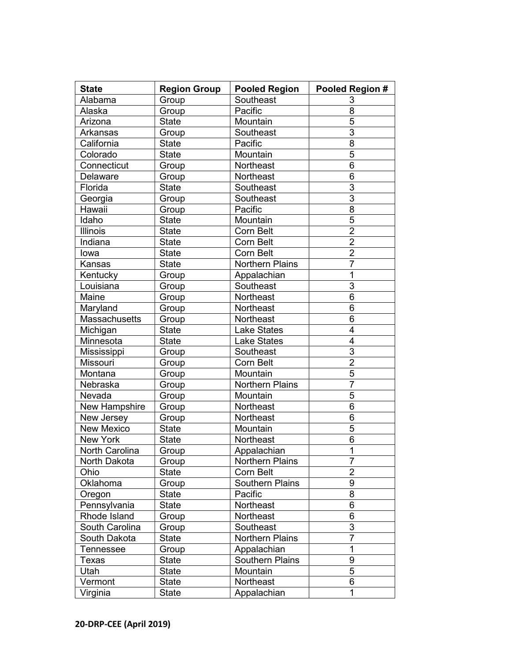| <b>State</b>          | <b>Region Group</b> | <b>Pooled Region</b>   | Pooled Region # |
|-----------------------|---------------------|------------------------|-----------------|
| Alabama               | Group               | Southeast              | 3               |
| Alaska                | Group               | Pacific                | 8               |
| Arizona               | <b>State</b>        | Mountain               | $\overline{5}$  |
| Arkansas              | Group               | Southeast              | 3               |
| California            | <b>State</b>        | Pacific                | $\overline{8}$  |
| Colorado              | <b>State</b>        | Mountain               | 5               |
| Connecticut           | Group               | Northeast              | $\overline{6}$  |
| Delaware              | Group               | Northeast              | 6               |
| Florida               | <b>State</b>        | Southeast              | $\overline{3}$  |
| Georgia               | Group               | Southeast              | 3               |
| Hawaii                | Group               | Pacific                | $\overline{8}$  |
| Idaho                 | <b>State</b>        | Mountain               | 5               |
| <b>Illinois</b>       | <b>State</b>        | Corn Belt              | $\overline{2}$  |
| Indiana               | <b>State</b>        | Corn Belt              | $\overline{2}$  |
| lowa                  | <b>State</b>        | Corn Belt              | $\overline{2}$  |
| Kansas                | <b>State</b>        | <b>Northern Plains</b> | $\overline{7}$  |
| Kentucky              | Group               | Appalachian            | 1               |
| Louisiana             | Group               | Southeast              | $\overline{3}$  |
| Maine                 | Group               | Northeast              | 6               |
| Maryland              | Group               | Northeast              | 6               |
| Massachusetts         | Group               | Northeast              | 6               |
| Michigan              | <b>State</b>        | <b>Lake States</b>     | $\overline{4}$  |
| Minnesota             | <b>State</b>        | <b>Lake States</b>     | $\overline{4}$  |
| Mississippi           | Group               | Southeast              | $\overline{3}$  |
| Missouri              | Group               | Corn Belt              | $\overline{2}$  |
| Montana               | Group               | Mountain               | $\overline{5}$  |
| Nebraska              | Group               | <b>Northern Plains</b> | $\overline{7}$  |
| Nevada                | Group               | Mountain               | $\overline{5}$  |
| New Hampshire         | Group               | Northeast              | 6               |
| New Jersey            | Group               | Northeast              | 6               |
| New Mexico            | <b>State</b>        | Mountain               | 5               |
| New York              | <b>State</b>        | Northeast              | 6               |
| <b>North Carolina</b> | Group               | Appalachian            | $\overline{1}$  |
| North Dakota          | Group               | <b>Northern Plains</b> | 7               |
| Ohio                  | <b>State</b>        | Corn Belt              | $\overline{2}$  |
| Oklahoma              | Group               | Southern Plains        | 9               |
| Oregon                | State               | Pacific                | 8               |
| Pennsylvania          | <b>State</b>        | Northeast              | 6               |
| Rhode Island          | Group               | Northeast              | 6               |
| South Carolina        | Group               | Southeast              | 3               |
| South Dakota          | <b>State</b>        | <b>Northern Plains</b> | $\overline{7}$  |
| <b>Tennessee</b>      | Group               | Appalachian            | $\mathbf 1$     |
| Texas                 | <b>State</b>        | <b>Southern Plains</b> | $\overline{9}$  |
| Utah                  | <b>State</b>        | Mountain               | 5               |
| Vermont               | <b>State</b>        | Northeast              | 6               |
| Virginia              | <b>State</b>        | Appalachian            | 1               |